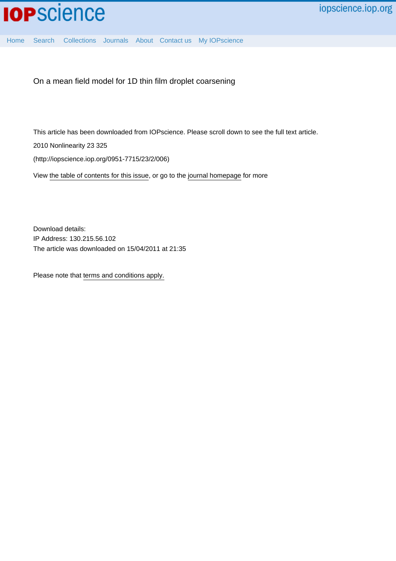[Home](http://iopscience.iop.org/) [Search](http://iopscience.iop.org/search) [Collections](http://iopscience.iop.org/collections) [Journals](http://iopscience.iop.org/journals) [About](http://iopscience.iop.org/page/aboutioppublishing) [Contact us](http://iopscience.iop.org/contact) [My IOPscience](http://iopscience.iop.org/myiopscience)

On a mean field model for 1D thin film droplet coarsening

This article has been downloaded from IOPscience. Please scroll down to see the full text article.

2010 Nonlinearity 23 325

(http://iopscience.iop.org/0951-7715/23/2/006)

View [the table of contents for this issue](http://iopscience.iop.org/0951-7715/23/2), or go to the [journal homepage](http://iopscience.iop.org/0951-7715) for more

Download details: IP Address: 130.215.56.102 The article was downloaded on 15/04/2011 at 21:35

Please note that [terms and conditions apply.](http://iopscience.iop.org/page/terms)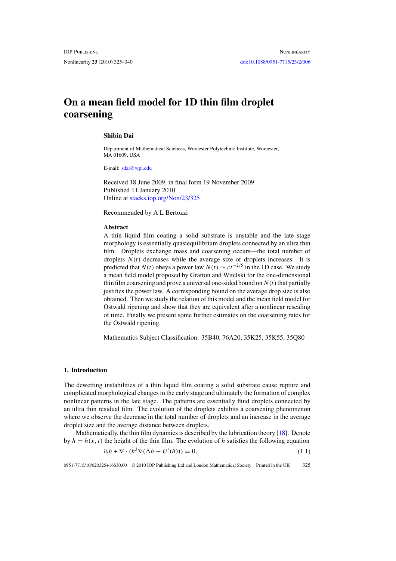<span id="page-1-0"></span>

# **On a mean field model for 1D thin film droplet coarsening**

#### **Shibin Dai**

Department of Mathematical Sciences, Worcester Polytechnic Institute, Worcester, MA 01609, USA

E-mail: [sdai@wpi.edu](mailto: sdai@wpi.edu)

Received 18 June 2009, in final form 19 November 2009 Published 11 January 2010 Online at [stacks.iop.org/Non/23/325](http://stacks.iop.org/no/23/325)

Recommended by A L Bertozzi

## **Abstract**

A thin liquid film coating a solid substrate is unstable and the late stage morphology is essentially quasiequilibrium droplets connected by an ultra thin film. Droplets exchange mass and coarsening occurs—the total number of droplets  $N(t)$  decreases while the average size of droplets increases. It is predicted that *N*(*t*) obeys a power law  $N(t) \sim ct^{-2/5}$  in the 1D case. We study a mean field model proposed by Gratton and Witelski for the one-dimensional thin film coarsening and prove a universal one-sided bound on  $N(t)$  that partially justifies the power law. A corresponding bound on the average drop size is also obtained. Then we study the relation of this model and the mean field model for Ostwald ripening and show that they are equivalent after a nonlinear rescaling of time. Finally we present some further estimates on the coarsening rates for the Ostwald ripening.

Mathematics Subject Classification: 35B40, 76A20, 35K25, 35K55, 35Q80

#### **1. Introduction**

The dewetting instabilities of a thin liquid film coating a solid substrate cause rupture and complicated morphological changes in the early stage and ultimately the formation of complex nonlinear patterns in the late stage. The patterns are essentially fluid droplets connected by an ultra thin residual film. The evolution of the droplets exhibits a coarsening phenomenon where we observe the decrease in the total number of droplets and an increase in the average droplet size and the average distance between droplets.

Mathematically, the thin film dynamics is described by the lubrication theory [\[18\]](#page-16-0). Denote by  $h = h(x, t)$  the height of the thin film. The evolution of h satisfies the following equation

$$
\partial_t h + \nabla \cdot (h^3 \nabla (\Delta h - U'(h))) = 0,\tag{1.1}
$$

0951-7715/10/020325+16\$30.00 © 2010 IOP Publishing Ltd and London Mathematical Society Printed in the UK 325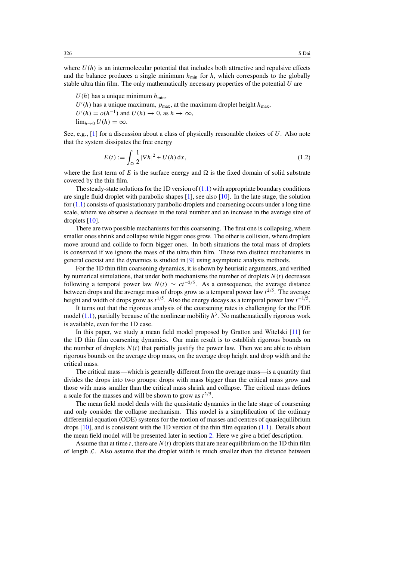where  $U(h)$  is an intermolecular potential that includes both attractive and repulsive effects and the balance produces a single minimum  $h_{\text{min}}$  for  $h$ , which corresponds to the globally stable ultra thin film. The only mathematically necessary properties of the potential *U* are

 $U(h)$  has a unique minimum  $h_{\min}$ ,  $U'(h)$  has a unique maximum,  $p_{\text{max}}$ , at the maximum droplet height  $h_{\text{max}}$ ,  $U'(h) = o(h^{-1})$  and  $U(h) \to 0$ , as  $h \to \infty$ ,

 $\lim_{h\to 0} U(h) = \infty$ .

See, e.g., [\[1\]](#page-16-0) for a discussion about a class of physically reasonable choices of *U*. Also note that the system dissipates the free energy

$$
E(t) := \int_{\Omega} \frac{1}{2} |\nabla h|^2 + U(h) \, \mathrm{d}x,\tag{1.2}
$$

where the first term of  $E$  is the surface energy and  $\Omega$  is the fixed domain of solid substrate covered by the thin film.

The steady-state solutions for the 1D version of  $(1.1)$  with appropriate boundary conditions are single fluid droplet with parabolic shapes [\[1\]](#page-16-0), see also [\[10\]](#page-16-0). In the late stage, the solution for  $(1.1)$  consists of quasistationary parabolic droplets and coarsening occurs under a long time scale, where we observe a decrease in the total number and an increase in the average size of droplets [\[10\]](#page-16-0).

There are two possible mechanisms for this coarsening. The first one is collapsing, where smaller ones shrink and collapse while bigger ones grow. The other is collision, where droplets move around and collide to form bigger ones. In both situations the total mass of droplets is conserved if we ignore the mass of the ultra thin film. These two distinct mechanisms in general coexist and the dynamics is studied in [\[9\]](#page-16-0) using asymptotic analysis methods.

For the 1D thin film coarsening dynamics, it is shown by heuristic arguments, and verified by numerical simulations, that under both mechanisms the number of droplets  $N(t)$  decreases following a temporal power law  $N(t) \sim ct^{-2/5}$ . As a consequence, the average distance between drops and the average mass of drops grow as a temporal power law *t* <sup>2</sup>*/*5. The average height and width of drops grow as *t* <sup>1</sup>*/*5. Also the energy decays as a temporal power law *t*<sup>−</sup>1*/*5.

It turns out that the rigorous analysis of the coarsening rates is challenging for the PDE model  $(1.1)$ , partially because of the nonlinear mobility  $h^3$ . No mathematically rigorous work is available, even for the 1D case.

In this paper, we study a mean field model proposed by Gratton and Witelski [\[11\]](#page-16-0) for the 1D thin film coarsening dynamics. Our main result is to establish rigorous bounds on the number of droplets  $N(t)$  that partially justify the power law. Then we are able to obtain rigorous bounds on the average drop mass, on the average drop height and drop width and the critical mass.

The critical mass—which is generally different from the average mass—is a quantity that divides the drops into two groups: drops with mass bigger than the critical mass grow and those with mass smaller than the critical mass shrink and collapse. The critical mass defines a scale for the masses and will be shown to grow as  $t^{2/5}$ .

The mean field model deals with the quasistatic dynamics in the late stage of coarsening and only consider the collapse mechanism. This model is a simplification of the ordinary differential equation (ODE) systems for the motion of masses and centres of quasiequilibrium drops [\[10\]](#page-16-0), and is consistent with the 1D version of the thin film equation [\(1.1\)](#page-1-0). Details about the mean field model will be presented later in section [2.](#page-5-0) Here we give a brief description.

Assume that at time *t*, there are  $N(t)$  droplets that are near equilibrium on the 1D thin film of length  $\mathcal{L}$ . Also assume that the droplet width is much smaller than the distance between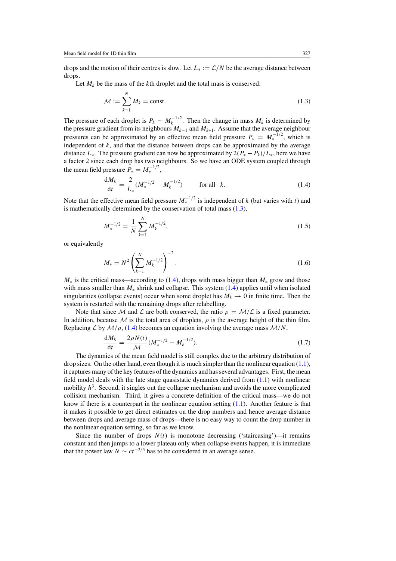<span id="page-3-0"></span>drops and the motion of their centres is slow. Let  $L_* := \mathcal{L}/N$  be the average distance between drops.

Let  $M_k$  be the mass of the  $k$ th droplet and the total mass is conserved:

$$
\mathcal{M} := \sum_{k=1}^{N} M_k = \text{const.} \tag{1.3}
$$

The pressure of each droplet is  $P_k \sim M_k^{-1/2}$ . Then the change in mass  $M_k$  is determined by the pressure gradient from its neighbours  $M_{k-1}$  and  $M_{k+1}$ . Assume that the average neighbour pressures can be approximated by an effective mean field pressure  $P_* = M_*^{-1/2}$ , which is independent of  $k$ , and that the distance between drops can be approximated by the average distance  $L_{*}$ . The pressure gradient can now be approximated by  $2(P_{*} - P_{k})/L_{*}$ , here we have a factor 2 since each drop has two neighbours. So we have an ODE system coupled through the mean field pressure  $P_* = M_*^{-1/2}$ ,

$$
\frac{dM_k}{dt} = \frac{2}{L_*} (M_*^{-1/2} - M_k^{-1/2}) \qquad \text{for all } k. \tag{1.4}
$$

Note that the effective mean field pressure  $M_*^{-1/2}$  is independent of *k* (but varies with *t*) and is mathematically determined by the conservation of total mass (1.3),

$$
M_*^{-1/2} = \frac{1}{N} \sum_{k=1}^{N} M_k^{-1/2},\tag{1.5}
$$

or equivalently

$$
M_{*} = N^{2} \left( \sum_{k=1}^{N} M_{k}^{-1/2} \right)^{-2}.
$$
 (1.6)

*M*<sup>∗</sup> is the critical mass—according to (1.4), drops with mass bigger than *M*<sup>∗</sup> grow and those with mass smaller than *M*<sup>∗</sup> shrink and collapse. This system (1.4) applies until when isolated singularities (collapse events) occur when some droplet has  $M_k \to 0$  in finite time. Then the system is restarted with the remaining drops after relabelling.

Note that since M and L are both conserved, the ratio  $\rho = M/L$  is a fixed parameter. In addition, because  $M$  is the total area of droplets,  $\rho$  is the average height of the thin film. Replacing L by  $M/\rho$ , (1.4) becomes an equation involving the average mass  $M/N$ ,

$$
\frac{dM_k}{dt} = \frac{2\rho N(t)}{\mathcal{M}} (M_*^{-1/2} - M_k^{-1/2}).
$$
\n(1.7)

The dynamics of the mean field model is still complex due to the arbitrary distribution of drop sizes. On the other hand, even though it is much simpler than the nonlinear equation  $(1.1)$ , it captures many of the key features of the dynamics and has several advantages. First, the mean field model deals with the late stage quasistatic dynamics derived from [\(1.1\)](#page-1-0) with nonlinear mobility  $h<sup>3</sup>$ . Second, it singles out the collapse mechanism and avoids the more complicated collision mechanism. Third, it gives a concrete definition of the critical mass—we do not know if there is a counterpart in the nonlinear equation setting  $(1.1)$ . Another feature is that it makes it possible to get direct estimates on the drop numbers and hence average distance between drops and average mass of drops—there is no easy way to count the drop number in the nonlinear equation setting, so far as we know.

Since the number of drops  $N(t)$  is monotone decreasing ('staircasing')—it remains constant and then jumps to a lower plateau only when collapse events happen, it is immediate that the power law  $N \sim ct^{-2/5}$  has to be considered in an average sense.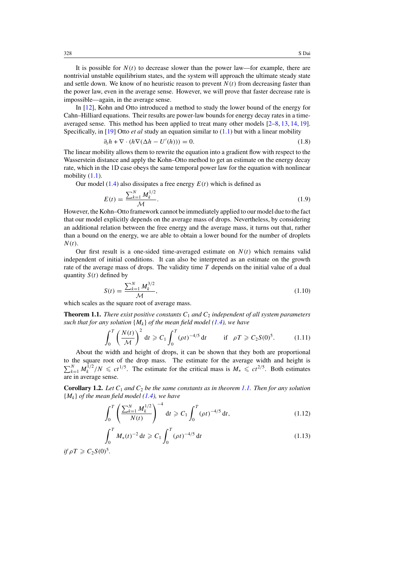<span id="page-4-0"></span>It is possible for  $N(t)$  to decrease slower than the power law—for example, there are nontrivial unstable equilibrium states, and the system will approach the ultimate steady state and settle down. We know of no heuristic reason to prevent  $N(t)$  from decreasing faster than the power law, even in the average sense. However, we will prove that faster decrease rate is impossible—again, in the average sense.

In [\[12\]](#page-16-0), Kohn and Otto introduced a method to study the lower bound of the energy for Cahn–Hilliard equations. Their results are power-law bounds for energy decay rates in a timeaveraged sense. This method has been applied to treat many other models [\[2–8,](#page-16-0) [13,](#page-16-0) [14,](#page-16-0) [19\]](#page-16-0). Specifically, in [\[19\]](#page-16-0) Otto *et al* study an equation similar to [\(1.1\)](#page-1-0) but with a linear mobility

$$
\partial_t h + \nabla \cdot (h \nabla (\Delta h - U'(h))) = 0. \tag{1.8}
$$

The linear mobility allows them to rewrite the equation into a gradient flow with respect to the Wasserstein distance and apply the Kohn–Otto method to get an estimate on the energy decay rate, which in the 1D case obeys the same temporal power law for the equation with nonlinear mobility  $(1.1)$ .

Our model [\(1.4\)](#page-3-0) also dissipates a free energy  $E(t)$  which is defined as

$$
E(t) = \frac{\sum_{k=1}^{N} M_k^{1/2}}{\mathcal{M}}.
$$
\n(1.9)

However, the Kohn–Otto framework cannot be immediately applied to our model due to the fact that our model explicitly depends on the average mass of drops. Nevertheless, by considering an additional relation between the free energy and the average mass, it turns out that, rather than a bound on the energy, we are able to obtain a lower bound for the number of droplets *N (t)*.

Our first result is a one-sided time-averaged estimate on  $N(t)$  which remains valid independent of initial conditions. It can also be interpreted as an estimate on the growth rate of the average mass of drops. The validity time *T* depends on the initial value of a dual quantity  $S(t)$  defined by

$$
S(t) = \frac{\sum_{k=1}^{N} M_k^{3/2}}{\mathcal{M}},
$$
\n(1.10)

which scales as the square root of average mass.

**Theorem 1.1.** *There exist positive constants*  $C_1$  *and*  $C_2$  *independent of all system parameters such that for any solution*  ${M_k}$  *of the mean field model* [\(1.4\)](#page-3-0), we have

$$
\int_0^T \left(\frac{N(t)}{\mathcal{M}}\right)^2 dt \geqslant C_1 \int_0^T (\rho t)^{-4/5} dt \qquad \text{if} \quad \rho T \geqslant C_2 S(0)^5. \tag{1.11}
$$

About the width and height of drops, it can be shown that they both are proportional to the square root of the drop mass. The estimate for the average width and height is  $\sum_{k=1}^{N} M_k^{1/2} / N \le ct^{1/5}$ . The estimate for the critical mass is  $M_* \le ct^{2/5}$ . Both estimates are in average sense.

**Corollary 1.2.** Let  $C_1$  and  $C_2$  be the same constants as in theorem 1.1. Then for any solution  ${M_k}$  *of the mean field model* [\(1.4\)](#page-3-0), we have

$$
\int_0^T \left( \frac{\sum_{k=1}^N M_k^{1/2}}{N(t)} \right)^{-4} dt \geqslant C_1 \int_0^T (\rho t)^{-4/5} dt,
$$
\n(1.12)

$$
\int_0^T M_*(t)^{-2} dt \geqslant C_1 \int_0^T (\rho t)^{-4/5} dt \tag{1.13}
$$

*if*  $\rho T \geqslant C_2 S(0)^5$ .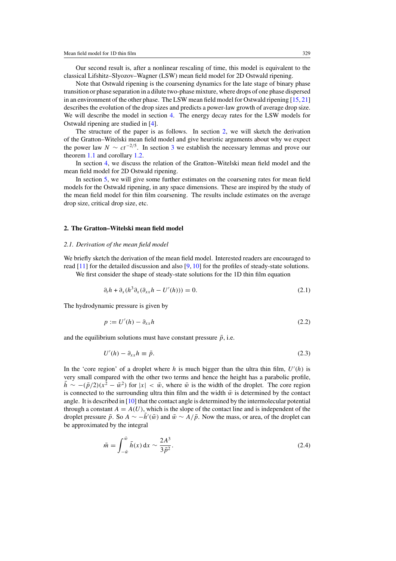<span id="page-5-0"></span>Our second result is, after a nonlinear rescaling of time, this model is equivalent to the classical Lifshitz–Slyozov–Wagner (LSW) mean field model for 2D Ostwald ripening.

Note that Ostwald ripening is the coarsening dynamics for the late stage of binary phase transition or phase separation in a dilute two-phase mixture, where drops of one phase dispersed in an environment of the other phase. The LSW mean field model for Ostwald ripening [\[15,](#page-16-0) [21\]](#page-16-0) describes the evolution of the drop sizes and predicts a power-law growth of average drop size. We will describe the model in section [4.](#page-11-0) The energy decay rates for the LSW models for Ostwald ripening are studied in [\[4\]](#page-16-0).

The structure of the paper is as follows. In section 2, we will sketch the derivation of the Gratton–Witelski mean field model and give heuristic arguments about why we expect the power law  $N \sim ct^{-2/5}$ . In section [3](#page-8-0) we establish the necessary lemmas and prove our theorem [1.1](#page-4-0) and corollary [1.2.](#page-4-0)

In section [4,](#page-11-0) we discuss the relation of the Gratton–Witelski mean field model and the mean field model for 2D Ostwald ripening.

In section [5,](#page-13-0) we will give some further estimates on the coarsening rates for mean field models for the Ostwald ripening, in any space dimensions. These are inspired by the study of the mean field model for thin film coarsening. The results include estimates on the average drop size, critical drop size, etc.

#### **2. The Gratton–Witelski mean field model**

#### *2.1. Derivation of the mean field model*

We briefly sketch the derivation of the mean field model. Interested readers are encouraged to read  $[11]$  for the detailed discussion and also  $[9, 10]$  $[9, 10]$  $[9, 10]$  for the profiles of steady-state solutions.

We first consider the shape of steady-state solutions for the 1D thin film equation

$$
\partial_t h + \partial_x (h^3 \partial_x (\partial_{xx} h - U'(h))) = 0. \tag{2.1}
$$

The hydrodynamic pressure is given by

$$
p := U'(h) - \partial_{xx}h \tag{2.2}
$$

and the equilibrium solutions must have constant pressure  $\bar{p}$ , i.e.

$$
U'(h) - \partial_{xx} h \equiv \bar{p}.
$$
\n(2.3)

In the 'core region' of a droplet where  $h$  is much bigger than the ultra thin film,  $U'(h)$  is very small compared with the other two terms and hence the height has a parabolic profile,  $h \sim -(\bar{p}/2)(x^2 - \bar{w}^2)$  for  $|x| < \bar{w}$ , where  $\bar{w}$  is the width of the droplet. The core region is connected to the surrounding ultra thin film and the width  $\bar{w}$  is determined by the contact angle. It is described in [\[10\]](#page-16-0) that the contact angle is determined by the intermolecular potential through a constant  $A = A(U)$ , which is the slope of the contact line and is independent of the droplet pressure  $\bar{p}$ . So *A* ∼ − $\bar{h}'(\bar{w})$  and  $\bar{w} \sim \bar{A}/\bar{p}$ . Now the mass, or area, of the droplet can be approximated by the integral

$$
\bar{m} = \int_{-\bar{w}}^{\bar{w}} \bar{h}(x) dx \sim \frac{2A^3}{3\bar{p}^2}.
$$
 (2.4)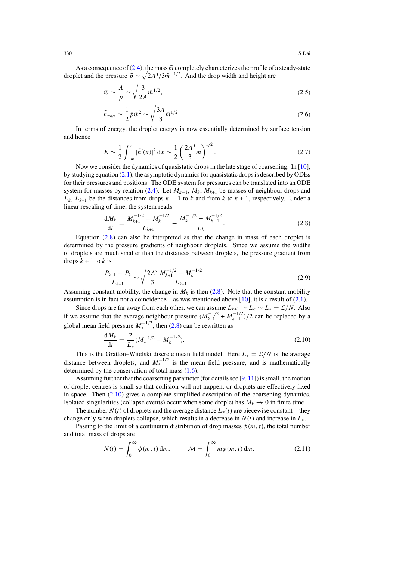As a consequence of  $(2.4)$ , the mass  $\bar{m}$  completely characterizes the profile of a steady-state droplet and the pressure  $\bar{p} \sim \sqrt{2A^3/3}\bar{m}^{-1/2}$ . And the drop width and height are

$$
\bar{w} \sim \frac{A}{\bar{p}} \sim \sqrt{\frac{3}{2A}} \bar{m}^{1/2},\tag{2.5}
$$

$$
\bar{h}_{\text{max}} \sim \frac{1}{2} \bar{p} \bar{w}^2 \sim \sqrt{\frac{3A}{8}} \bar{m}^{1/2}.
$$
 (2.6)

In terms of energy, the droplet energy is now essentially determined by surface tension and hence

$$
E \sim \frac{1}{2} \int_{-\bar{w}}^{\bar{w}} |\bar{h}'(x)|^2 dx \sim \frac{1}{2} \left(\frac{2A^3}{3}\bar{m}\right)^{1/2}.
$$
 (2.7)

Now we consider the dynamics of quasistatic drops in the late stage of coarsening. In [\[10\]](#page-16-0), by studying equation [\(2.1\)](#page-5-0), the asymptotic dynamics for quasistatic drops is described by ODEs for their pressures and positions. The ODE system for pressures can be translated into an ODE system for masses by relation [\(2.4\)](#page-5-0). Let  $M_{k-1}$ ,  $M_k$ ,  $M_{k+1}$  be masses of neighbour drops and  $L_k$ ,  $L_{k+1}$  be the distances from drops  $k-1$  to  $k$  and from  $k$  to  $k+1$ , respectively. Under a linear rescaling of time, the system reads

$$
\frac{dM_k}{dt} = \frac{M_{k+1}^{-1/2} - M_k^{-1/2}}{L_{k+1}} - \frac{M_k^{-1/2} - M_{k-1}^{-1/2}}{L_k}.
$$
\n(2.8)

Equation (2.8) can also be interpreted as that the change in mass of each droplet is determined by the pressure gradients of neighbour droplets. Since we assume the widths of droplets are much smaller than the distances between droplets, the pressure gradient from drops  $k + 1$  to  $k$  is

$$
\frac{P_{k+1} - P_k}{L_{k+1}} \sim \sqrt{\frac{2A^3}{3}} \frac{M_{k+1}^{-1/2} - M_k^{-1/2}}{L_{k+1}}.
$$
\n(2.9)

Assuming constant mobility, the change in  $M_k$  is then (2.8). Note that the constant mobility assumption is in fact not a coincidence—as was mentioned above  $[10]$ , it is a result of  $(2.1)$ .

Since drops are far away from each other, we can assume  $L_{k+1} \sim L_k \sim L_* = \mathcal{L}/N$ . Also if we assume that the average neighbour pressure  $(M_{k+1}^{-1/2} + M_{k-1}^{-1/2})/2$  can be replaced by a global mean field pressure  $M_*^{-1/2}$ , then (2.8) can be rewritten as

$$
\frac{dM_k}{dt} = \frac{2}{L_*} (M_*^{-1/2} - M_k^{-1/2}).
$$
\n(2.10)

This is the Gratton–Witelski discrete mean field model. Here  $L_* = \mathcal{L}/N$  is the average distance between droplets, and  $M_*^{-1/2}$  is the mean field pressure, and is mathematically determined by the conservation of total mass [\(1.6\)](#page-3-0).

Assuming further that the coarsening parameter (for details see  $[9, 11]$  $[9, 11]$  $[9, 11]$ ) is small, the motion of droplet centres is small so that collision will not happen, or droplets are effectively fixed in space. Then  $(2.10)$  gives a complete simplified description of the coarsening dynamics. Isolated singularities (collapse events) occur when some droplet has  $M_k \to 0$  in finite time.

The number *N (t)* of droplets and the average distance *L*∗*(t)* are piecewise constant—they change only when droplets collapse, which results in a decrease in  $N(t)$  and increase in  $L_{*}$ .

Passing to the limit of a continuum distribution of drop masses  $\phi(m, t)$ , the total number and total mass of drops are

$$
N(t) = \int_0^\infty \phi(m, t) \, dm, \qquad \mathcal{M} = \int_0^\infty m \phi(m, t) \, dm. \tag{2.11}
$$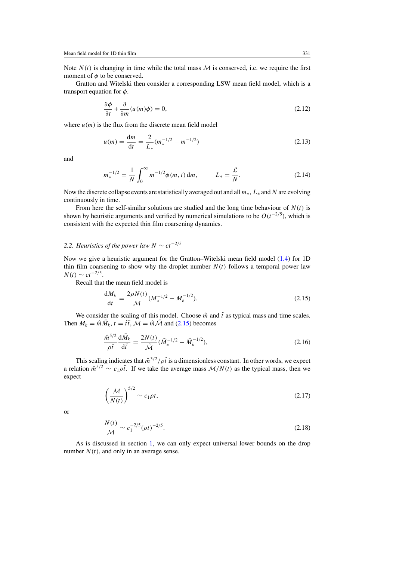<span id="page-7-0"></span>Note  $N(t)$  is changing in time while the total mass  $M$  is conserved, i.e. we require the first moment of  $\phi$  to be conserved.

Gratton and Witelski then consider a corresponding LSW mean field model, which is a transport equation for *φ*.

$$
\frac{\partial \phi}{\partial t} + \frac{\partial}{\partial m}(u(m)\phi) = 0, \tag{2.12}
$$

where  $u(m)$  is the flux from the discrete mean field model

$$
u(m) = \frac{dm}{dt} = \frac{2}{L_*} (m_*^{-1/2} - m^{-1/2})
$$
\n(2.13)

and

$$
m_*^{-1/2} = \frac{1}{N} \int_0^\infty m^{-1/2} \phi(m, t) \, dm, \qquad L_* = \frac{\mathcal{L}}{N}.
$$
 (2.14)

Now the discrete collapse events are statistically averaged out and all*m*∗*, L*<sup>∗</sup> and *N* are evolving continuously in time.

From here the self-similar solutions are studied and the long time behaviour of  $N(t)$  is shown by heuristic arguments and verified by numerical simulations to be  $O(t^{-2/5})$ , which is consistent with the expected thin film coarsening dynamics.

## 2.2. Heuristics of the power law  $N \sim ct^{-2/5}$

Now we give a heuristic argument for the Gratton–Witelski mean field model [\(1.4\)](#page-3-0) for 1D thin film coarsening to show why the droplet number  $N(t)$  follows a temporal power law *N*(*t*) ∼ *ct*<sup> $-2/5$ </sup>.

Recall that the mean field model is

$$
\frac{dM_k}{dt} = \frac{2\rho N(t)}{\mathcal{M}} (M_*^{-1/2} - M_k^{-1/2}).
$$
\n(2.15)

We consider the scaling of this model. Choose  $\hat{m}$  and  $\hat{t}$  as typical mass and time scales. Then  $M_k = \hat{m}\tilde{M}_k$ ,  $t = \hat{t}\tilde{t}$ ,  $\tilde{M} = \hat{m}\tilde{M}$  and (2.15) becomes

$$
\frac{\hat{m}^{5/2}}{\rho \hat{t}} \frac{\mathrm{d}\tilde{M}_k}{\mathrm{d}\tilde{t}} = \frac{2N(t)}{\tilde{\mathcal{M}}} (\tilde{M}_*^{-1/2} - \tilde{M}_k^{-1/2}),\tag{2.16}
$$

This scaling indicates that  $\hat{m}^{5/2}/\rho\hat{t}$  is a dimensionless constant. In other words, we expect a relation  $\hat{m}^{5/2} \sim c_1 \rho \hat{t}$ . If we take the average mass  $M/N(t)$  as the typical mass, then we expect

$$
\left(\frac{\mathcal{M}}{N(t)}\right)^{5/2} \sim c_1 \rho t,\tag{2.17}
$$

or

$$
\frac{N(t)}{\mathcal{M}} \sim c_1^{-2/5} (\rho t)^{-2/5}.
$$
\n(2.18)

As is discussed in section [1,](#page-1-0) we can only expect universal lower bounds on the drop number  $N(t)$ , and only in an average sense.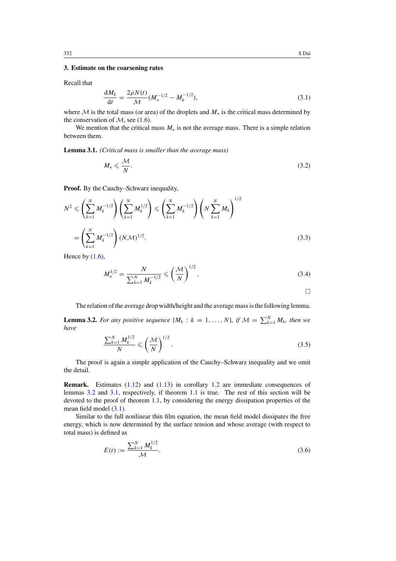## <span id="page-8-0"></span>**3. Estimate on the coarsening rates**

Recall that

$$
\frac{dM_k}{dt} = \frac{2\rho N(t)}{\mathcal{M}} (M_*^{-1/2} - M_k^{-1/2}),
$$
\n(3.1)

where M is the total mass (or area) of the droplets and *M*<sup>∗</sup> is the critical mass determined by the conservation of  $M$ , see [\(1.6\)](#page-3-0).

We mention that the critical mass  $M_*$  is not the average mass. There is a simple relation between them.

**Lemma 3.1.** *(Critical mass is smaller than the average mass)*

$$
M_* \leqslant \frac{\mathcal{M}}{N}.\tag{3.2}
$$

**Proof.** By the Cauchy–Schwarz inequality,

$$
N^{2} \leqslant \left(\sum_{k=1}^{N} M_{k}^{-1/2}\right) \left(\sum_{k=1}^{N} M_{k}^{1/2}\right) \leqslant \left(\sum_{k=1}^{N} M_{k}^{-1/2}\right) \left(N \sum_{k=1}^{N} M_{k}\right)^{1/2}
$$
\n
$$
= \left(\sum_{k=1}^{N} M_{k}^{-1/2}\right) (N \mathcal{M})^{1/2}.
$$
\n(3.3)

Hence by  $(1.6)$ ,

$$
M_{*}^{1/2} = \frac{N}{\sum_{k=1}^{N} M_{k}^{-1/2}} \leqslant \left(\frac{\mathcal{M}}{N}\right)^{1/2}.
$$
\n(3.4)

 $\Box$ 

The relation of the average drop width/height and the average mass is the following lemma.

**Lemma 3.2.** *For any positive sequence*  $\{M_k : k = 1, ..., N\}$ *, if*  $\mathcal{M} = \sum_{k=1}^N M_k$ *, then we have*

$$
\frac{\sum_{k=1}^{N} M_k^{1/2}}{N} \leqslant \left(\frac{\mathcal{M}}{N}\right)^{1/2}.\tag{3.5}
$$

The proof is again a simple application of the Cauchy–Schwarz inequality and we omit the detail.

**Remark.** Estimates [\(1.12\)](#page-4-0) and [\(1.13\)](#page-4-0) in corollary [1.2](#page-4-0) are immediate consequences of lemmas 3.2 and 3.1, respectively, if theorem [1.1](#page-4-0) is true. The rest of this section will be devoted to the proof of theorem [1.1,](#page-4-0) by considering the energy dissipation properties of the mean field model  $(3.1)$ .

Similar to the full nonlinear thin film equation, the mean field model dissipates the free energy, which is now determined by the surface tension and whose average (with respect to total mass) is defined as

$$
E(t) := \frac{\sum_{k=1}^{N} M_k^{1/2}}{\mathcal{M}}.\tag{3.6}
$$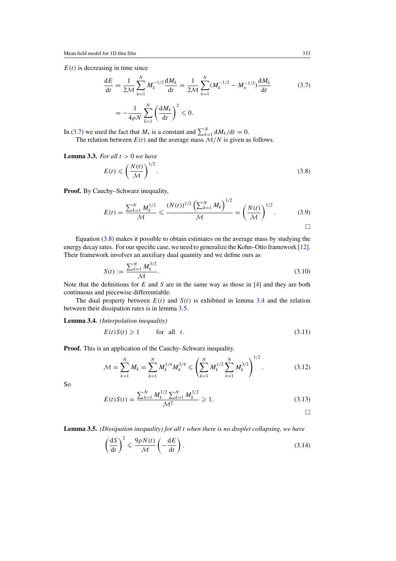<span id="page-9-0"></span> $E(t)$  is decreasing in time since

$$
\frac{dE}{dt} = \frac{1}{2\mathcal{M}} \sum_{k=1}^{N} M_k^{-1/2} \frac{dM_k}{dt} = \frac{1}{2\mathcal{M}} \sum_{k=1}^{N} (M_k^{-1/2} - M_*^{-1/2}) \frac{dM_k}{dt}
$$
(3.7)  
=  $-\frac{1}{4\rho N} \sum_{k=1}^{N} \left(\frac{dM_k}{dt}\right)^2 \le 0.$ 

In (3.7) we used the fact that  $M_*$  is a constant and  $\sum_{k=1}^{N} dM_k/dt = 0$ . The relation between  $E(t)$  and the average mass  $\mathcal{M}/N$  is given as follows.

**Lemma 3.3.** *For all t >* 0 *we have*

$$
E(t) \leqslant \left(\frac{N(t)}{\mathcal{M}}\right)^{1/2}.\tag{3.8}
$$

**Proof.** By Cauchy–Schwarz inequality,

$$
E(t) = \frac{\sum_{k=1}^{N} M_k^{1/2}}{\mathcal{M}} \leq \frac{(N(t))^{1/2} \left(\sum_{k=1}^{N} M_k\right)^{1/2}}{\mathcal{M}} = \left(\frac{N(t)}{\mathcal{M}}\right)^{1/2}.
$$
 (3.9)

Equation (3.8) makes it possible to obtain estimates on the average mass by studying the energy decay rates. For our specific case, we need to generalize the Kohn–Otto framework [\[12\]](#page-16-0). Their framework involves an auxiliary dual quantity and we define ours as

$$
S(t) := \frac{\sum_{k=1}^{N} M_k^{3/2}}{\mathcal{M}}.\tag{3.10}
$$

Note that the definitions for *E* and *S* are in the same way as those in [\[4\]](#page-16-0) and they are both continuous and piecewise differentiable.

The dual property between  $E(t)$  and  $S(t)$  is exhibited in lemma 3.4 and the relation between their dissipation rates is in lemma 3.5.

**Lemma 3.4.** *(Interpolation inequality)*

$$
E(t)S(t) \geq 1 \qquad \text{for all } t. \tag{3.11}
$$

**Proof.** This is an application of the Cauchy–Schwarz inequality.

$$
\mathcal{M} = \sum_{k=1}^{N} M_k = \sum_{k=1}^{N} M_k^{1/4} M_k^{3/4} \leqslant \left( \sum_{k=1}^{N} M_k^{1/2} \sum_{k=1}^{N} M_k^{3/2} \right)^{1/2}.
$$
 (3.12)

So

$$
E(t)S(t) = \frac{\sum_{k=1}^{N} M_k^{1/2} \sum_{k=1}^{N} M_k^{3/2}}{\mathcal{M}^2} \ge 1.
$$
 (3.13)

 $\Box$ 

**Lemma 3.5.** *(Dissipation inequality) for all t when there is no droplet collapsing, we have*

$$
\left(\frac{\mathrm{d}S}{\mathrm{d}t}\right)^2 \leqslant \frac{9\rho N(t)}{\mathcal{M}} \left(-\frac{\mathrm{d}E}{\mathrm{d}t}\right). \tag{3.14}
$$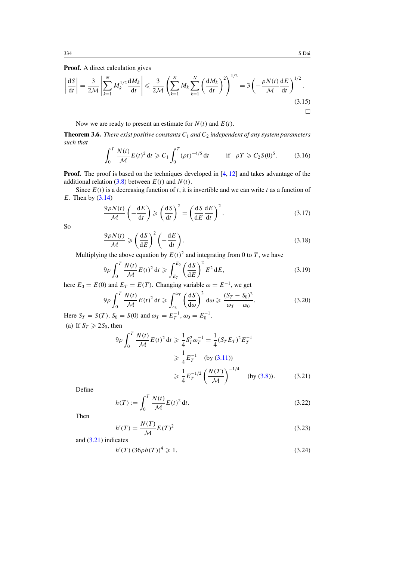## <span id="page-10-0"></span>**Proof.** A direct calculation gives

$$
\left|\frac{\mathrm{d}S}{\mathrm{d}t}\right| = \frac{3}{2\mathcal{M}} \left|\sum_{k=1}^{N} M_k^{1/2} \frac{\mathrm{d}M_k}{\mathrm{d}t}\right| \leq \frac{3}{2\mathcal{M}} \left(\sum_{k=1}^{N} M_k \sum_{k=1}^{N} \left(\frac{\mathrm{d}M_k}{\mathrm{d}t}\right)^2\right)^{1/2} = 3\left(-\frac{\rho N(t)}{\mathcal{M}} \frac{\mathrm{d}E}{\mathrm{d}t}\right)^{1/2}.
$$
\n(3.15)

Now we are ready to present an estimate for  $N(t)$  and  $E(t)$ .

**Theorem 3.6.** *There exist positive constants*  $C_1$  *and*  $C_2$  *independent of any system parameters such that*

$$
\int_0^T \frac{N(t)}{\mathcal{M}} E(t)^2 dt \geqslant C_1 \int_0^T (\rho t)^{-4/5} dt \quad \text{if} \quad \rho T \geqslant C_2 S(0)^5. \tag{3.16}
$$

**Proof.** The proof is based on the techniques developed in [\[4,](#page-16-0) [12\]](#page-16-0) and takes advantage of the additional relation  $(3.8)$  between  $E(t)$  and  $N(t)$ .

Since  $E(t)$  is a decreasing function of *t*, it is invertible and we can write *t* as a function of *E*. Then by [\(3.14\)](#page-9-0)

$$
\frac{9\rho N(t)}{\mathcal{M}} \left( -\frac{\mathrm{d}E}{\mathrm{d}t} \right) \geqslant \left( \frac{\mathrm{d}S}{\mathrm{d}t} \right)^2 = \left( \frac{\mathrm{d}S}{\mathrm{d}E} \frac{\mathrm{d}E}{\mathrm{d}t} \right)^2. \tag{3.17}
$$

So

$$
\frac{9\rho N(t)}{\mathcal{M}} \geqslant \left(\frac{\mathrm{d}S}{\mathrm{d}E}\right)^2 \left(-\frac{\mathrm{d}E}{\mathrm{d}t}\right). \tag{3.18}
$$

Multiplying the above equation by  $E(t)^2$  and integrating from 0 to *T*, we have

$$
9\rho \int_0^T \frac{N(t)}{\mathcal{M}} E(t)^2 dt \geqslant \int_{E_T}^{E_0} \left(\frac{dS}{dE}\right)^2 E^2 dE, \tag{3.19}
$$

here  $E_0 = E(0)$  and  $E_T = E(T)$ . Changing variable  $\omega = E^{-1}$ , we get

$$
9\rho \int_0^T \frac{N(t)}{\mathcal{M}} E(t)^2 dt \ge \int_{\omega_0}^{\omega_T} \left(\frac{dS}{d\omega}\right)^2 d\omega \ge \frac{(S_T - S_0)^2}{\omega_T - \omega_0}.
$$
 (3.20)

Here  $S_T = S(T)$ ,  $S_0 = S(0)$  and  $\omega_T = E_T^{-1}$ ,  $\omega_0 = E_0^{-1}$ . (a) If  $S_T \ge 2S_0$ , then

$$
9\rho \int_0^T \frac{N(t)}{\mathcal{M}} E(t)^2 dt \ge \frac{1}{4} S_T^2 \omega_T^{-1} = \frac{1}{4} (S_T E_T)^2 E_T^{-1}
$$
  

$$
\ge \frac{1}{4} E_T^{-1} \quad \text{(by (3.11))}
$$
  

$$
\ge \frac{1}{4} E_T^{-1/2} \left(\frac{N(T)}{\mathcal{M}}\right)^{-1/4} \quad \text{(by (3.8))}.
$$
 (3.21)

Define

$$
h(T) := \int_0^T \frac{N(t)}{\mathcal{M}} E(t)^2 dt.
$$
 (3.22)

Then

$$
h'(T) = \frac{N(T)}{\mathcal{M}} E(T)^2
$$
\n(3.23)

and (3.21) indicates

$$
h'(T) (36\rho h(T))^4 \geq 1. \tag{3.24}
$$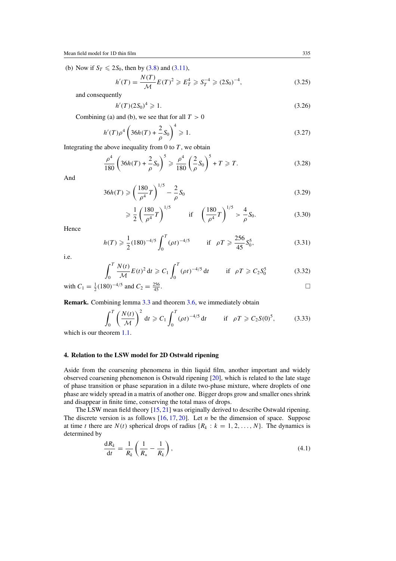<span id="page-11-0"></span>(b) Now if  $S_T \le 2S_0$ , then by [\(3.8\)](#page-9-0) and [\(3.11\)](#page-9-0),

$$
h'(T) = \frac{N(T)}{\mathcal{M}} E(T)^2 \geqslant E_T^4 \geqslant S_T^{-4} \geqslant (2S_0)^{-4},\tag{3.25}
$$

and consequently

$$
h'(T)(2S_0)^4 \geqslant 1. \tag{3.26}
$$

Combining (a) and (b), we see that for all  $T > 0$ 

$$
h'(T)\rho^4 \left(36h(T) + \frac{2}{\rho}S_0\right)^4 \ge 1.
$$
 (3.27)

Integrating the above inequality from  $0$  to  $T$ , we obtain

$$
\frac{\rho^4}{180} \left( 36h(T) + \frac{2}{\rho} S_0 \right)^5 \ge \frac{\rho^4}{180} \left( \frac{2}{\rho} S_0 \right)^5 + T \ge T.
$$
 (3.28)

And

$$
36h(T) \ge \left(\frac{180}{\rho^4}T\right)^{1/5} - \frac{2}{\rho}S_0\tag{3.29}
$$

$$
\geq \frac{1}{2} \left( \frac{180}{\rho^4} T \right)^{1/5} \qquad \text{if} \quad \left( \frac{180}{\rho^4} T \right)^{1/5} > \frac{4}{\rho} S_0. \tag{3.30}
$$

Hence

$$
h(T) \geq \frac{1}{2} (180)^{-4/5} \int_0^T (\rho t)^{-4/5} \qquad \text{if} \quad \rho T \geq \frac{256}{45} S_0^5,\tag{3.31}
$$

i.e.

$$
\int_0^T \frac{N(t)}{\mathcal{M}} E(t)^2 dt \ge C_1 \int_0^T (\rho t)^{-4/5} dt \quad \text{if } \rho T \ge C_2 S_0^5 \tag{3.32}
$$

with 
$$
C_1 = \frac{1}{2}(180)^{-4/5}
$$
 and  $C_2 = \frac{256}{45}$ .

**Remark.** Combining lemma [3.3](#page-9-0) and theorem [3.6,](#page-10-0) we immediately obtain

$$
\int_0^T \left(\frac{N(t)}{\mathcal{M}}\right)^2 dt \ge C_1 \int_0^T (\rho t)^{-4/5} dt \qquad \text{if} \quad \rho T \ge C_2 S(0)^5, \tag{3.33}
$$

which is our theorem [1.1.](#page-4-0)

#### **4. Relation to the LSW model for 2D Ostwald ripening**

Aside from the coarsening phenomena in thin liquid film, another important and widely observed coarsening phenomenon is Ostwald ripening [\[20\]](#page-16-0), which is related to the late stage of phase transition or phase separation in a dilute two-phase mixture, where droplets of one phase are widely spread in a matrix of another one. Bigger drops grow and smaller ones shrink and disappear in finite time, conserving the total mass of drops.

The LSW mean field theory [\[15,](#page-16-0) [21\]](#page-16-0) was originally derived to describe Ostwald ripening. The discrete version is as follows [\[16,](#page-16-0) [17,](#page-16-0) [20\]](#page-16-0). Let *n* be the dimension of space. Suppose at time *t* there are  $N(t)$  spherical drops of radius  $\{R_k : k = 1, 2, ..., N\}$ . The dynamics is determined by

$$
\frac{\mathrm{d}R_k}{\mathrm{d}t} = \frac{1}{R_k} \left( \frac{1}{R_*} - \frac{1}{R_k} \right),\tag{4.1}
$$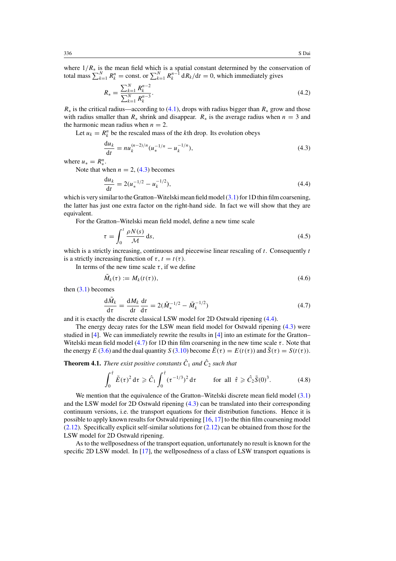<span id="page-12-0"></span>where 1*/R*<sup>∗</sup> is the mean field which is a spatial constant determined by the conservation of total mass  $\sum_{k=1}^{N} R_k^n = \text{const.}$  or  $\sum_{k=1}^{N} R_k^{n-1} dR_k/dt = 0$ , which immediately gives

$$
R_* = \frac{\sum_{k=1}^{N} R_k^{n-2}}{\sum_{k=1}^{N} R_k^{n-3}}.
$$
\n(4.2)

 $R_*$  is the critical radius—according to [\(4.1\)](#page-11-0), drops with radius bigger than  $R_*$  grow and those with radius smaller than  $R_*$  shrink and disappear.  $R_*$  is the average radius when  $n = 3$  and the harmonic mean radius when  $n = 2$ .

Let  $u_k = R_k^n$  be the rescaled mass of the *k*th drop. Its evolution obeys

$$
\frac{du_k}{dt} = nu_k^{(n-2)/n} (u_*^{-1/n} - u_k^{-1/n}),
$$
\n(4.3)

where  $u_* = R^n_*$ .

Note that when  $n = 2$ , (4.3) becomes

$$
\frac{du_k}{dt} = 2(u_*^{-1/2} - u_k^{-1/2}),
$$
\n(4.4)

which is very similar to the Gratton–Witelski mean field model [\(3.1\)](#page-8-0) for 1D thin film coarsening, the latter has just one extra factor on the right-hand side. In fact we will show that they are equivalent.

For the Gratton–Witelski mean field model, define a new time scale

$$
\tau = \int_0^t \frac{\rho N(s)}{\mathcal{M}} \, \mathrm{d}s,\tag{4.5}
$$

which is a strictly increasing, continuous and piecewise linear rescaling of *t*. Consequently *t* is a strictly increasing function of  $\tau$ ,  $t = t(\tau)$ .

In terms of the new time scale  $\tau$ , if we define

$$
\tilde{M}_k(\tau) := M_k(t(\tau)),\tag{4.6}
$$

then  $(3.1)$  becomes

$$
\frac{\mathrm{d}\tilde{M}_k}{\mathrm{d}\tau} = \frac{\mathrm{d}M_k}{\mathrm{d}t}\frac{\mathrm{d}t}{\mathrm{d}\tau} = 2(\tilde{M}_*^{-1/2} - \tilde{M}_k^{-1/2})\tag{4.7}
$$

and it is exactly the discrete classical LSW model for 2D Ostwald ripening (4.4).

The energy decay rates for the LSW mean field model for Ostwald ripening (4.3) were studied in [\[4\]](#page-16-0). We can immediately rewrite the results in [\[4\]](#page-16-0) into an estimate for the Gratton– Witelski mean field model (4.7) for 1D thin film coarsening in the new time scale *τ* . Note that the energy *E* [\(3.6\)](#page-8-0) and the dual quantity *S* [\(3.10\)](#page-9-0) become  $E(\tau) = E(t(\tau))$  and  $S(\tau) = S(t(\tau))$ .

**Theorem 4.1.** *There exist positive constants*  $\hat{C}_1$  *and*  $\hat{C}_2$  *such that* 

$$
\int_0^{\hat{\tau}} \tilde{E}(\tau)^2 d\tau \geq \hat{C}_1 \int_0^{\hat{\tau}} (\tau^{-1/3})^2 d\tau \qquad \text{for all } \hat{\tau} \geq \hat{C}_2 \tilde{S}(0)^3. \tag{4.8}
$$

We mention that the equivalence of the Gratton–Witelski discrete mean field model [\(3.1\)](#page-8-0) and the LSW model for 2D Ostwald ripening (4.3) can be translated into their corresponding continuum versions, i.e. the transport equations for their distribution functions. Hence it is possible to apply known results for Ostwald ripening [\[16,](#page-16-0) [17\]](#page-16-0) to the thin film coarsening model  $(2.12)$ . Specifically explicit self-similar solutions for  $(2.12)$  can be obtained from those for the LSW model for 2D Ostwald ripening.

As to the wellposedness of the transport equation, unfortunately no result is known for the specific 2D LSW model. In [\[17\]](#page-16-0), the wellposedness of a class of LSW transport equations is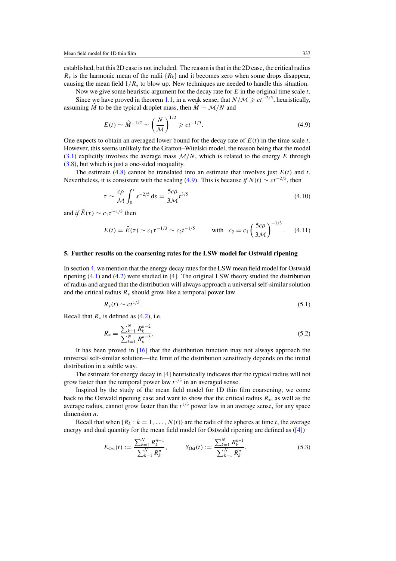<span id="page-13-0"></span>established, but this 2D case is not included. The reason is that in the 2D case, the critical radius *R*<sup>∗</sup> is the harmonic mean of the radii {*Rk*} and it becomes zero when some drops disappear, causing the mean field  $1/R_*$  to blow up. New techniques are needed to handle this situation.

Now we give some heuristic argument for the decay rate for *E* in the original time scale *t*. Since we have proved in theorem [1.1,](#page-4-0) in a weak sense, that *N/M*  $\ge ct^{-2/5}$ , heuristically,

assuming  $\hat{M}$  to be the typical droplet mass, then  $\hat{M} \sim \mathcal{M}/N$  and

$$
E(t) \sim \hat{M}^{-1/2} \sim \left(\frac{N}{\mathcal{M}}\right)^{1/2} \geqslant ct^{-1/5}.
$$
 (4.9)

One expects to obtain an averaged lower bound for the decay rate of *E(t)* in the time scale *t*. However, this seems unlikely for the Gratton–Witelski model, the reason being that the model [\(3.1\)](#page-8-0) explicitly involves the average mass  $M/N$ , which is related to the energy  $E$  through [\(3.8\)](#page-9-0), but which is just a one-sided inequality.

The estimate [\(4.8\)](#page-12-0) cannot be translated into an estimate that involves just  $E(t)$  and  $t$ . Nevertheless, it is consistent with the scaling (4.9). This is because *if*  $N(t) \sim ct^{-2/5}$ , then

$$
\tau \sim \frac{c\rho}{\mathcal{M}} \int_0^t s^{-2/5} \, \mathrm{d}s = \frac{5c\rho}{3\mathcal{M}} t^{3/5} \tag{4.10}
$$

and *if*  $\tilde{E}(\tau) \sim c_1 \tau^{-1/3}$  then

$$
E(t) = \tilde{E}(\tau) \sim c_1 \tau^{-1/3} \sim c_2 t^{-1/5} \quad \text{with} \quad c_2 = c_1 \left(\frac{5c\rho}{3\mathcal{M}}\right)^{-1/3}.
$$
 (4.11)

#### **5. Further results on the coarsening rates for the LSW model for Ostwald ripening**

In section [4,](#page-11-0) we mention that the energy decay rates for the LSW mean field model for Ostwald ripening [\(4.1\)](#page-11-0) and [\(4.2\)](#page-12-0) were studied in [\[4\]](#page-16-0). The original LSW theory studied the distribution of radius and argued that the distribution will always approach a universal self-similar solution and the critical radius  $R_*$  should grow like a temporal power law

$$
R_*(t) \sim ct^{1/3}.
$$
\n(5.1)

Recall that  $R_*$  is defined as  $(4.2)$ , i.e.

$$
R_* = \frac{\sum_{k=1}^{N} R_k^{n-2}}{\sum_{k=1}^{N} R_k^{n-3}}.
$$
\n(5.2)

It has been proved in [\[16\]](#page-16-0) that the distribution function may not always approach the universal self-similar solution—the limit of the distribution sensitively depends on the initial distribution in a subtle way.

The estimate for energy decay in [\[4\]](#page-16-0) heuristically indicates that the typical radius will not grow faster than the temporal power law  $t^{1/3}$  in an averaged sense.

Inspired by the study of the mean field model for 1D thin film coarsening, we come back to the Ostwald ripening case and want to show that the critical radius *R*∗, as well as the average radius, cannot grow faster than the  $t^{1/3}$  power law in an average sense, for any space dimension *n*.

Recall that when  $\{R_k : k = 1, \ldots, N(t)\}$  are the radii of the spheres at time *t*, the average energy and dual quantity for the mean field model for Ostwald ripening are defined as ([\[4\]](#page-16-0))

$$
E_{\text{Ost}}(t) := \frac{\sum_{k=1}^{N} R_k^{n-1}}{\sum_{k=1}^{N} R_k^n}, \qquad S_{\text{Ost}}(t) := \frac{\sum_{k=1}^{N} R_k^{n+1}}{\sum_{k=1}^{N} R_k^n}.
$$
\n(5.3)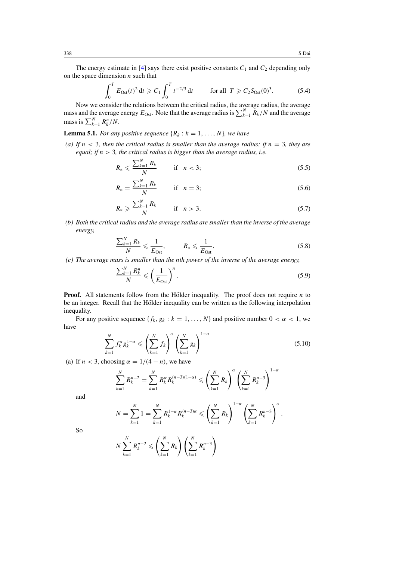<span id="page-14-0"></span>The energy estimate in [\[4\]](#page-16-0) says there exist positive constants  $C_1$  and  $C_2$  depending only on the space dimension *n* such that

$$
\int_0^T E_{\text{Ost}}(t)^2 dt \geqslant C_1 \int_0^T t^{-2/3} dt \qquad \text{for all } T \geqslant C_2 S_{\text{Ost}}(0)^3. \tag{5.4}
$$

Now we consider the relations between the critical radius, the average radius, the average mass and the average energy  $E_{\text{Ost}}$ . Note that the average radius is  $\sum_{k=1}^{N} R_k/N$  and the average mass is  $\sum_{k=1}^{N} R_k^n/N$ .

**Lemma 5.1.** *For any positive sequence*  $\{R_k : k = 1, \ldots, N\}$ *, we have* 

(a) If  $n < 3$ , then the critical radius is smaller than the average radius; if  $n = 3$ , they are *equal; if n >* 3*, the critical radius is bigger than the average radius, i.e.*

$$
R_* \leqslant \frac{\sum_{k=1}^N R_k}{N} \qquad \text{if} \quad n < 3; \tag{5.5}
$$

$$
R_* = \frac{\sum_{k=1}^{N} R_k}{N} \qquad \text{if} \quad n = 3; \tag{5.6}
$$

$$
R_* \geqslant \frac{\sum_{k=1}^N R_k}{N} \qquad \text{if} \quad n > 3. \tag{5.7}
$$

*(b) Both the critical radius and the average radius are smaller than the inverse of the average energy,*

$$
\frac{\sum_{k=1}^{N} R_k}{N} \leqslant \frac{1}{E_{\text{Ost}}}, \qquad R_* \leqslant \frac{1}{E_{\text{Ost}}}.
$$
\n
$$
(5.8)
$$

*(c) The average mass is smaller than the nth power of the inverse of the average energy,*

$$
\frac{\sum_{k=1}^{N} R_k^n}{N} \leqslant \left(\frac{1}{E_{\text{Ost}}}\right)^n.
$$
\n
$$
(5.9)
$$

**Proof.** All statements follow from the Hölder inequality. The proof does not require  $n$  to be an integer. Recall that the Hölder inequality can be written as the following interpolation inequality.

For any positive sequence  $\{f_k, g_k : k = 1, ..., N\}$  and positive number  $0 < \alpha < 1$ , we have

$$
\sum_{k=1}^{N} f_k^{\alpha} g_k^{1-\alpha} \leqslant \left(\sum_{k=1}^{N} f_k\right)^{\alpha} \left(\sum_{k=1}^{N} g_k\right)^{1-\alpha} \tag{5.10}
$$

(a) If  $n < 3$ , choosing  $\alpha = 1/(4 - n)$ , we have

$$
\sum_{k=1}^{N} R_k^{n-2} = \sum_{k=1}^{N} R_k^{\alpha} R_k^{(n-3)(1-\alpha)} \leqslant \left(\sum_{k=1}^{N} R_k\right)^{\alpha} \left(\sum_{k=1}^{N} R_k^{n-3}\right)^{1-\alpha}
$$

and

$$
N = \sum_{k=1}^{N} 1 = \sum_{k=1}^{N} R_k^{1-\alpha} R_k^{(n-3)\alpha} \leqslant \left(\sum_{k=1}^{N} R_k\right)^{1-\alpha} \left(\sum_{k=1}^{N} R_k^{n-3}\right)^{\alpha}.
$$

So

$$
N\sum_{k=1}^N R_k^{n-2} \leqslant \left(\sum_{k=1}^N R_k\right)\left(\sum_{k=1}^N R_k^{n-3}\right)
$$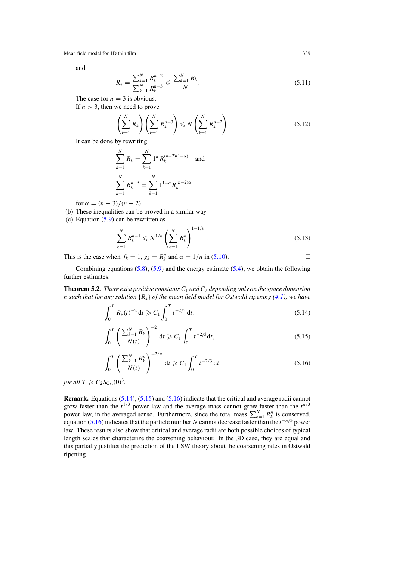and

$$
R_{*} = \frac{\sum_{k=1}^{N} R_{k}^{n-2}}{\sum_{k=1}^{N} R_{k}^{n-3}} \leqslant \frac{\sum_{k=1}^{N} R_{k}}{N}.
$$
\n(5.11)

The case for  $n = 3$  is obvious.

If *n >* 3, then we need to prove

$$
\left(\sum_{k=1}^{N} R_k\right) \left(\sum_{k=1}^{N} R_k^{n-3}\right) \leqslant N \left(\sum_{k=1}^{N} R_k^{n-2}\right).
$$
\n(5.12)

It can be done by rewriting

$$
\sum_{k=1}^{N} R_k = \sum_{k=1}^{N} 1^{\alpha} R_k^{(n-2)(1-\alpha)}
$$
 and  

$$
\sum_{k=1}^{N} R_k^{n-3} = \sum_{k=1}^{N} 1^{1-\alpha} R_k^{(n-2)\alpha}
$$

for  $\alpha = (n-3)/(n-2)$ .

- (b) These inequalities can be proved in a similar way.
- (c) Equation [\(5.9\)](#page-14-0) can be rewritten as

$$
\sum_{k=1}^{N} R_k^{n-1} \leq N^{1/n} \left( \sum_{k=1}^{N} R_k^n \right)^{1-1/n}.
$$
\n(5.13)

This is the case when  $f_k = 1$ ,  $g_k = R_k^n$  and  $\alpha = 1/n$  in [\(5.10\)](#page-14-0).

Combining equations  $(5.8)$ ,  $(5.9)$  and the energy estimate  $(5.4)$ , we obtain the following further estimates.

**Theorem 5.2.** *There exist positive constants*  $C_1$  *and*  $C_2$  *depending only on the space dimension n* such that for any solution  ${R_k}$  of the mean field model for Ostwald ripening [\(4.1\)](#page-11-0), we have

$$
\int_0^T R_*(t)^{-2} dt \geqslant C_1 \int_0^T t^{-2/3} dt,
$$
\n(5.14)

$$
\int_0^T \left( \frac{\sum_{k=1}^N R_k}{N(t)} \right)^{-2} dt \geqslant C_1 \int_0^T t^{-2/3} dt,
$$
\n(5.15)

$$
\int_0^T \left( \frac{\sum_{k=1}^N R_k^n}{N(t)} \right)^{-2/n} dt \geqslant C_1 \int_0^T t^{-2/3} dt \tag{5.16}
$$

*for all*  $T \ge C_2 S_{\text{Ost}}(0)^3$ *.* 

**Remark.** Equations (5.14), (5.15) and (5.16) indicate that the critical and average radii cannot grow faster than the  $t^{1/3}$  power law and the average mass cannot grow faster than the  $t^{n/3}$ power law, in the averaged sense. Furthermore, since the total mass  $\sum_{k=1}^{N} R_k^n$  is conserved, equation (5.16) indicates that the particle number *N* cannot decrease faster than the *t*<sup>−</sup>*n/*<sup>3</sup> power law. These results also show that critical and average radii are both possible choices of typical length scales that characterize the coarsening behaviour. In the 3D case, they are equal and this partially justifies the prediction of the LSW theory about the coarsening rates in Ostwald ripening.